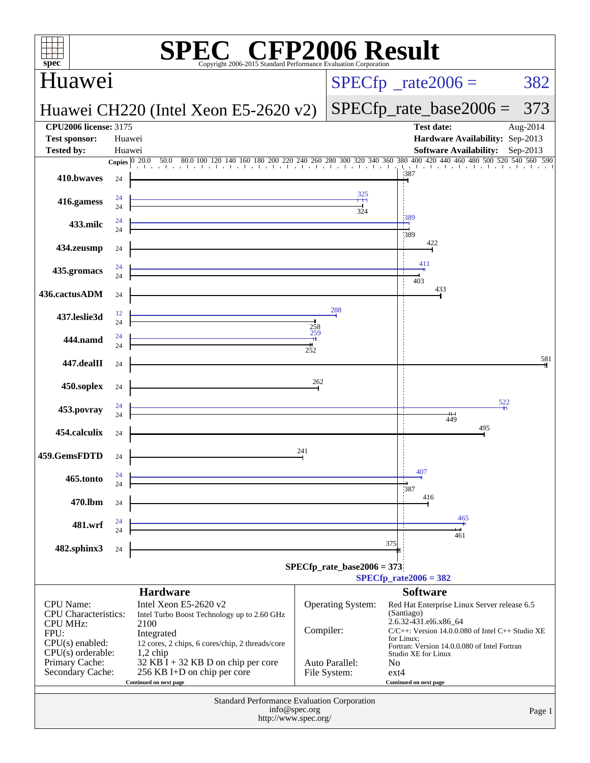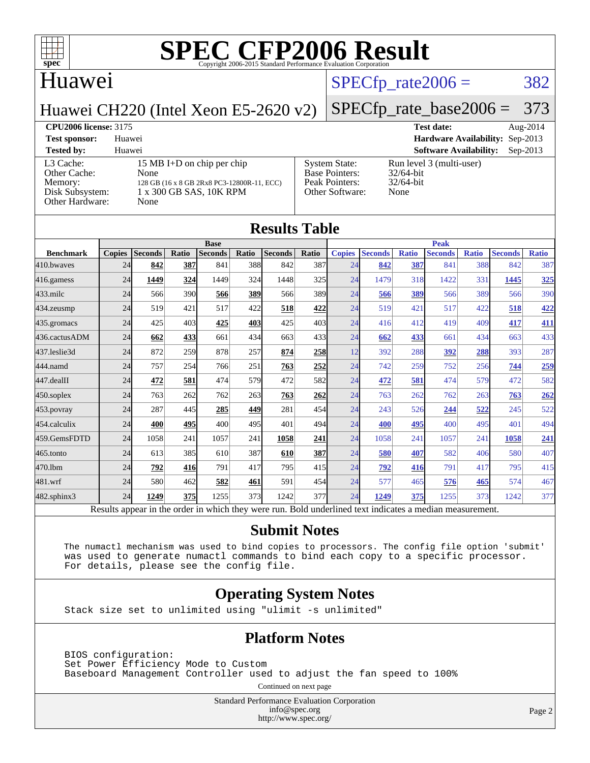

### Huawei

### $SPECTp_rate2006 = 382$

Huawei CH220 (Intel Xeon E5-2620 v2)

## [SPECfp\\_rate\\_base2006 =](http://www.spec.org/auto/cpu2006/Docs/result-fields.html#SPECfpratebase2006) 373

**[CPU2006 license:](http://www.spec.org/auto/cpu2006/Docs/result-fields.html#CPU2006license)** 3175 **[Test date:](http://www.spec.org/auto/cpu2006/Docs/result-fields.html#Testdate)** Aug-2014 **[Test sponsor:](http://www.spec.org/auto/cpu2006/Docs/result-fields.html#Testsponsor)** Huawei **[Hardware Availability:](http://www.spec.org/auto/cpu2006/Docs/result-fields.html#HardwareAvailability)** Sep-2013 **[Tested by:](http://www.spec.org/auto/cpu2006/Docs/result-fields.html#Testedby)** Huawei **[Software Availability:](http://www.spec.org/auto/cpu2006/Docs/result-fields.html#SoftwareAvailability)** Sep-2013 Iun level 3 (multi-user)

[L3 Cache:](http://www.spec.org/auto/cpu2006/Docs/result-fields.html#L3Cache) 15 MB I+D on chip per chip<br>Other Cache: None [Other Cache:](http://www.spec.org/auto/cpu2006/Docs/result-fields.html#OtherCache) [Memory:](http://www.spec.org/auto/cpu2006/Docs/result-fields.html#Memory) 128 GB (16 x 8 GB 2Rx8 PC3-12800R-11, ECC) [Disk Subsystem:](http://www.spec.org/auto/cpu2006/Docs/result-fields.html#DiskSubsystem) 1 x 300 GB SAS, 10K RPM [Other Hardware:](http://www.spec.org/auto/cpu2006/Docs/result-fields.html#OtherHardware) None

| <b>System State:</b><br>Base Pointers: | Run l<br>32/64 |
|----------------------------------------|----------------|
| Peak Pointers:                         | 32/64          |
| Other Software:                        | None           |
|                                        |                |

 $2/64$ -bit  $2/64$ -bit

| <b>Results Table</b> |               |                |       |                |                  |                |       |               |                                                                                                          |              |                |              |                |              |
|----------------------|---------------|----------------|-------|----------------|------------------|----------------|-------|---------------|----------------------------------------------------------------------------------------------------------|--------------|----------------|--------------|----------------|--------------|
|                      |               |                |       |                | <b>Base</b>      |                |       | <b>Peak</b>   |                                                                                                          |              |                |              |                |              |
| <b>Benchmark</b>     | <b>Copies</b> | <b>Seconds</b> | Ratio | <b>Seconds</b> | Ratio            | <b>Seconds</b> | Ratio | <b>Copies</b> | <b>Seconds</b>                                                                                           | <b>Ratio</b> | <b>Seconds</b> | <b>Ratio</b> | <b>Seconds</b> | <b>Ratio</b> |
| 410.bwayes           | 24            | 842            | 387   | 841            | 388l             | 842            | 387   | 24            | 842                                                                                                      | 387          | 841            | 388          | 842            | 387          |
| 416.gamess           | 24            | 1449           | 324   | 1449           | 324              | 1448           | 325   | 24            | 1479                                                                                                     | 318          | 1422           | 331          | 1445           | 325          |
| $433$ .milc          | 24            | 566            | 390   | 566            | 389              | 566            | 389   | 24            | 566                                                                                                      | 389          | 566            | 389          | 566            | 390          |
| 434.zeusmp           | 24            | 519            | 421   | 517            | 422              | 518            | 422   | 24            | 519                                                                                                      | 421          | 517            | 422          | 518            | 422          |
| 435.gromacs          | 24            | 425            | 403   | 425            | 403              | 425            | 403   | 24            | 416                                                                                                      | 412          | 419            | 409          | 417            | 411          |
| 436.cactusADM        | 24            | 662            | 433   | 661            | 434              | 663            | 433   | 24            | 662                                                                                                      | 433          | 661            | 434          | 663            | 433          |
| 437.leslie3d         | 24            | 872            | 259   | 878            | 257              | 874            | 258   | 12            | 392                                                                                                      | 288          | 392            | 288          | 393            | 287          |
| 444.namd             | 24            | 757            | 254   | 766            | 251              | 763            | 252   | 24            | 742                                                                                                      | 259          | 752            | 256          | 744            | 259          |
| 447.dealII           | 24            | 472            | 581   | 474            | 579l             | 472            | 582   | 24            | 472                                                                                                      | 581          | 474            | 579          | 472            | 582          |
| $450$ .soplex        | 24            | 763            | 262   | 762            | 263 <sup>I</sup> | 763            | 262   | 24            | 763                                                                                                      | 262          | 762            | 263          | 763            | 262          |
| 453.povray           | 24            | 287            | 445   | 285            | 449              | 281            | 454   | 24            | 243                                                                                                      | 526          | 244            | 522          | 245            | 522          |
| 454.calculix         | 24            | 400            | 495   | 400            | 495              | 401            | 494   | 24            | 400                                                                                                      | 495          | 400            | 495          | 401            | 494          |
| 459.GemsFDTD         | 24            | 1058           | 241   | 1057           | 241              | 1058           | 241   | 24            | 1058                                                                                                     | 241          | 1057           | 241          | 1058           | 241          |
| 465.tonto            | 24            | 613            | 385   | 610            | 387              | 610            | 387   | 24            | 580                                                                                                      | 407          | 582            | 406          | 580            | 407          |
| 470.1bm              | 24            | 792            | 416   | 791            | 417              | 795            | 415   | 24            | 792                                                                                                      | 416          | 791            | 417          | 795            | 415          |
| 481.wrf              | 24            | 580            | 462   | 582            | 461              | 591            | 454   | 24            | 577                                                                                                      | 465          | 576            | 465          | 574            | 467          |
| 482.sphinx3          | 24            | 1249           | 375   | 1255           | 373I             | 1242           | 377   | 24            | 1249                                                                                                     | 375          | 1255           | 373          | 1242           | 377          |
|                      |               |                |       |                |                  |                |       |               | Results appear in the order in which they were run. Bold underlined text indicates a median measurement. |              |                |              |                |              |

### **[Submit Notes](http://www.spec.org/auto/cpu2006/Docs/result-fields.html#SubmitNotes)**

 The numactl mechanism was used to bind copies to processors. The config file option 'submit' was used to generate numactl commands to bind each copy to a specific processor. For details, please see the config file.

### **[Operating System Notes](http://www.spec.org/auto/cpu2006/Docs/result-fields.html#OperatingSystemNotes)**

Stack size set to unlimited using "ulimit -s unlimited"

### **[Platform Notes](http://www.spec.org/auto/cpu2006/Docs/result-fields.html#PlatformNotes)**

 BIOS configuration: Set Power Efficiency Mode to Custom Baseboard Management Controller used to adjust the fan speed to 100%

Continued on next page

Standard Performance Evaluation Corporation [info@spec.org](mailto:info@spec.org) <http://www.spec.org/>

Page 2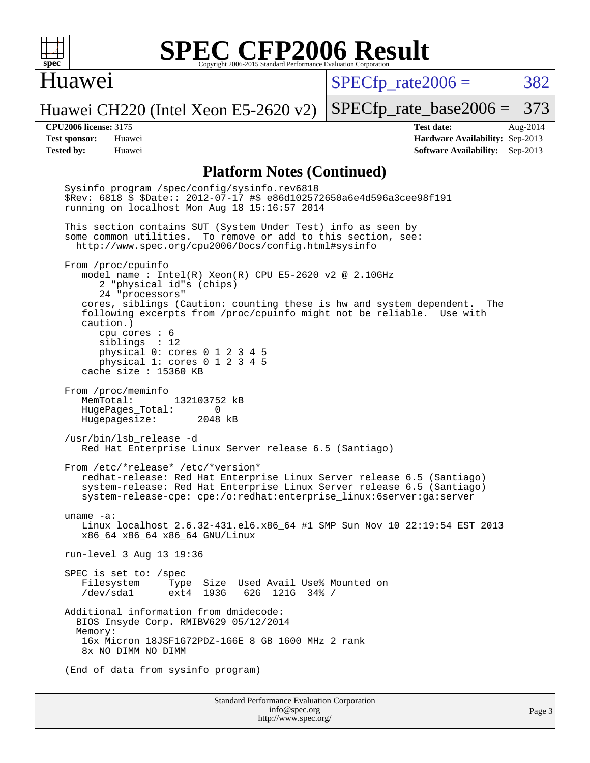

### Huawei

 $SPECTp\_rate2006 = 382$ 

Huawei CH220 (Intel Xeon E5-2620 v2)

[SPECfp\\_rate\\_base2006 =](http://www.spec.org/auto/cpu2006/Docs/result-fields.html#SPECfpratebase2006) 373

**[CPU2006 license:](http://www.spec.org/auto/cpu2006/Docs/result-fields.html#CPU2006license)** 3175 **[Test date:](http://www.spec.org/auto/cpu2006/Docs/result-fields.html#Testdate)** Aug-2014 **[Test sponsor:](http://www.spec.org/auto/cpu2006/Docs/result-fields.html#Testsponsor)** Huawei **[Hardware Availability:](http://www.spec.org/auto/cpu2006/Docs/result-fields.html#HardwareAvailability)** Sep-2013 **[Tested by:](http://www.spec.org/auto/cpu2006/Docs/result-fields.html#Testedby)** Huawei **[Software Availability:](http://www.spec.org/auto/cpu2006/Docs/result-fields.html#SoftwareAvailability)** Sep-2013

### **[Platform Notes \(Continued\)](http://www.spec.org/auto/cpu2006/Docs/result-fields.html#PlatformNotes)**

Standard Performance Evaluation Corporation [info@spec.org](mailto:info@spec.org) Sysinfo program /spec/config/sysinfo.rev6818 \$Rev: 6818 \$ \$Date:: 2012-07-17 #\$ e86d102572650a6e4d596a3cee98f191 running on localhost Mon Aug 18 15:16:57 2014 This section contains SUT (System Under Test) info as seen by some common utilities. To remove or add to this section, see: <http://www.spec.org/cpu2006/Docs/config.html#sysinfo> From /proc/cpuinfo model name : Intel(R) Xeon(R) CPU E5-2620 v2 @ 2.10GHz 2 "physical id"s (chips) 24 "processors" cores, siblings (Caution: counting these is hw and system dependent. The following excerpts from /proc/cpuinfo might not be reliable. Use with caution.) cpu cores : 6 siblings : 12 physical 0: cores 0 1 2 3 4 5 physical 1: cores 0 1 2 3 4 5 cache size : 15360 KB From /proc/meminfo<br>MemTotal: 132103752 kB HugePages\_Total: 0<br>Hugepagesize: 2048 kB Hugepagesize: /usr/bin/lsb\_release -d Red Hat Enterprise Linux Server release 6.5 (Santiago) From /etc/\*release\* /etc/\*version\* redhat-release: Red Hat Enterprise Linux Server release 6.5 (Santiago) system-release: Red Hat Enterprise Linux Server release 6.5 (Santiago) system-release-cpe: cpe:/o:redhat:enterprise\_linux:6server:ga:server uname -a: Linux localhost 2.6.32-431.el6.x86\_64 #1 SMP Sun Nov 10 22:19:54 EST 2013 x86\_64 x86\_64 x86\_64 GNU/Linux run-level 3 Aug 13 19:36 SPEC is set to: /spec Filesystem Type Size Used Avail Use% Mounted on 62G 121G 34% / Additional information from dmidecode: BIOS Insyde Corp. RMIBV629 05/12/2014 Memory: 16x Micron 18JSF1G72PDZ-1G6E 8 GB 1600 MHz 2 rank 8x NO DIMM NO DIMM (End of data from sysinfo program)

<http://www.spec.org/>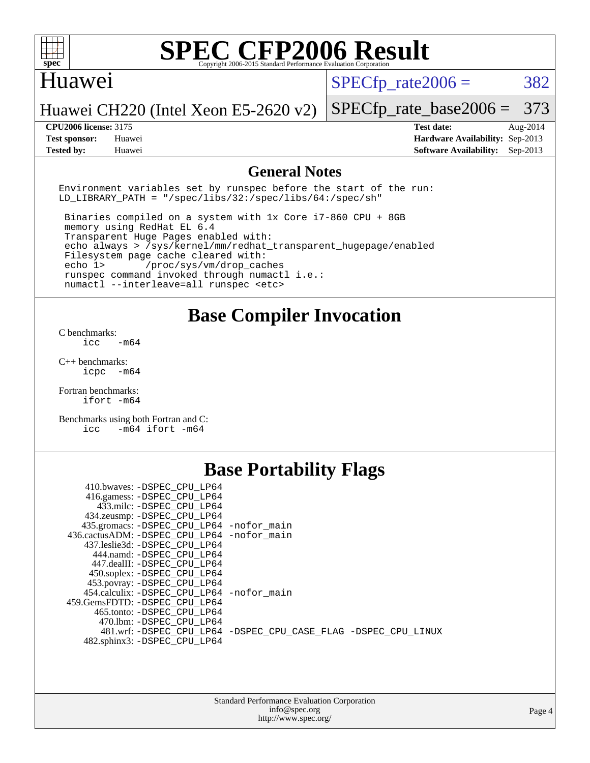

### Huawei

 $SPECTp\_rate2006 = 382$ 

Huawei CH220 (Intel Xeon E5-2620 v2)

**[Test sponsor:](http://www.spec.org/auto/cpu2006/Docs/result-fields.html#Testsponsor)** Huawei **[Hardware Availability:](http://www.spec.org/auto/cpu2006/Docs/result-fields.html#HardwareAvailability)** Sep-2013 **[Tested by:](http://www.spec.org/auto/cpu2006/Docs/result-fields.html#Testedby)** Huawei **[Software Availability:](http://www.spec.org/auto/cpu2006/Docs/result-fields.html#SoftwareAvailability)** Sep-2013

[SPECfp\\_rate\\_base2006 =](http://www.spec.org/auto/cpu2006/Docs/result-fields.html#SPECfpratebase2006) 373 **[CPU2006 license:](http://www.spec.org/auto/cpu2006/Docs/result-fields.html#CPU2006license)** 3175 **[Test date:](http://www.spec.org/auto/cpu2006/Docs/result-fields.html#Testdate)** Aug-2014

**[General Notes](http://www.spec.org/auto/cpu2006/Docs/result-fields.html#GeneralNotes)**

Environment variables set by runspec before the start of the run: LD LIBRARY PATH = "/spec/libs/32:/spec/libs/64:/spec/sh"

 Binaries compiled on a system with 1x Core i7-860 CPU + 8GB memory using RedHat EL 6.4 Transparent Huge Pages enabled with: echo always > /sys/kernel/mm/redhat\_transparent\_hugepage/enabled Filesystem page cache cleared with: echo 1> /proc/sys/vm/drop\_caches runspec command invoked through numactl i.e.: numactl --interleave=all runspec <etc>

**[Base Compiler Invocation](http://www.spec.org/auto/cpu2006/Docs/result-fields.html#BaseCompilerInvocation)**

[C benchmarks](http://www.spec.org/auto/cpu2006/Docs/result-fields.html#Cbenchmarks):  $\text{icc}$   $-\text{m64}$ 

[C++ benchmarks:](http://www.spec.org/auto/cpu2006/Docs/result-fields.html#CXXbenchmarks) [icpc -m64](http://www.spec.org/cpu2006/results/res2014q3/cpu2006-20140829-31090.flags.html#user_CXXbase_intel_icpc_64bit_bedb90c1146cab66620883ef4f41a67e)

[Fortran benchmarks](http://www.spec.org/auto/cpu2006/Docs/result-fields.html#Fortranbenchmarks): [ifort -m64](http://www.spec.org/cpu2006/results/res2014q3/cpu2006-20140829-31090.flags.html#user_FCbase_intel_ifort_64bit_ee9d0fb25645d0210d97eb0527dcc06e)

[Benchmarks using both Fortran and C](http://www.spec.org/auto/cpu2006/Docs/result-fields.html#BenchmarksusingbothFortranandC): [icc -m64](http://www.spec.org/cpu2006/results/res2014q3/cpu2006-20140829-31090.flags.html#user_CC_FCbase_intel_icc_64bit_0b7121f5ab7cfabee23d88897260401c) [ifort -m64](http://www.spec.org/cpu2006/results/res2014q3/cpu2006-20140829-31090.flags.html#user_CC_FCbase_intel_ifort_64bit_ee9d0fb25645d0210d97eb0527dcc06e)

### **[Base Portability Flags](http://www.spec.org/auto/cpu2006/Docs/result-fields.html#BasePortabilityFlags)**

| 410.bwaves: -DSPEC CPU LP64                 |                                                                |
|---------------------------------------------|----------------------------------------------------------------|
| 416.gamess: -DSPEC_CPU_LP64                 |                                                                |
| 433.milc: -DSPEC CPU LP64                   |                                                                |
| 434.zeusmp: - DSPEC_CPU_LP64                |                                                                |
| 435.gromacs: -DSPEC_CPU_LP64 -nofor_main    |                                                                |
| 436.cactusADM: -DSPEC CPU LP64 -nofor main  |                                                                |
| 437.leslie3d: -DSPEC CPU LP64               |                                                                |
| 444.namd: -DSPEC CPU LP64                   |                                                                |
| 447.dealII: -DSPEC CPU LP64                 |                                                                |
| 450.soplex: - DSPEC CPU LP64                |                                                                |
| 453.povray: -DSPEC_CPU_LP64                 |                                                                |
| 454.calculix: - DSPEC CPU LP64 - nofor main |                                                                |
| 459. GemsFDTD: - DSPEC CPU LP64             |                                                                |
| 465.tonto: - DSPEC CPU LP64                 |                                                                |
| 470.1bm: - DSPEC CPU LP64                   |                                                                |
|                                             | 481.wrf: -DSPEC CPU_LP64 -DSPEC_CPU_CASE_FLAG -DSPEC_CPU_LINUX |
| 482.sphinx3: -DSPEC_CPU_LP64                |                                                                |
|                                             |                                                                |

| <b>Standard Performance Evaluation Corporation</b> |
|----------------------------------------------------|
| info@spec.org                                      |
| http://www.spec.org/                               |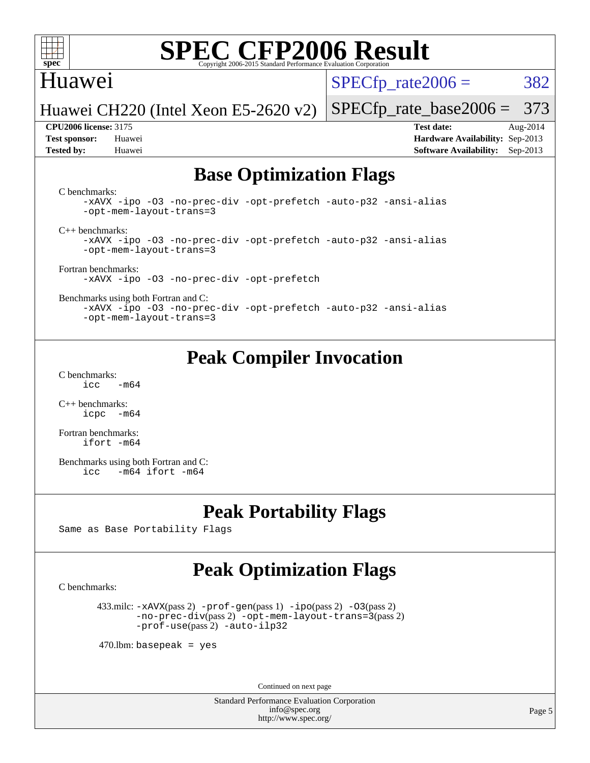

### Huawei

 $SPECTp\_rate2006 = 382$ 

Huawei CH220 (Intel Xeon E5-2620 v2)

**[Tested by:](http://www.spec.org/auto/cpu2006/Docs/result-fields.html#Testedby)** Huawei **[Software Availability:](http://www.spec.org/auto/cpu2006/Docs/result-fields.html#SoftwareAvailability)** Sep-2013

[SPECfp\\_rate\\_base2006 =](http://www.spec.org/auto/cpu2006/Docs/result-fields.html#SPECfpratebase2006) 373 **[CPU2006 license:](http://www.spec.org/auto/cpu2006/Docs/result-fields.html#CPU2006license)** 3175 **[Test date:](http://www.spec.org/auto/cpu2006/Docs/result-fields.html#Testdate)** Aug-2014 **[Test sponsor:](http://www.spec.org/auto/cpu2006/Docs/result-fields.html#Testsponsor)** Huawei **[Hardware Availability:](http://www.spec.org/auto/cpu2006/Docs/result-fields.html#HardwareAvailability)** Sep-2013

## **[Base Optimization Flags](http://www.spec.org/auto/cpu2006/Docs/result-fields.html#BaseOptimizationFlags)**

[C benchmarks](http://www.spec.org/auto/cpu2006/Docs/result-fields.html#Cbenchmarks):

[-xAVX](http://www.spec.org/cpu2006/results/res2014q3/cpu2006-20140829-31090.flags.html#user_CCbase_f-xAVX) [-ipo](http://www.spec.org/cpu2006/results/res2014q3/cpu2006-20140829-31090.flags.html#user_CCbase_f-ipo) [-O3](http://www.spec.org/cpu2006/results/res2014q3/cpu2006-20140829-31090.flags.html#user_CCbase_f-O3) [-no-prec-div](http://www.spec.org/cpu2006/results/res2014q3/cpu2006-20140829-31090.flags.html#user_CCbase_f-no-prec-div) [-opt-prefetch](http://www.spec.org/cpu2006/results/res2014q3/cpu2006-20140829-31090.flags.html#user_CCbase_f-opt-prefetch) [-auto-p32](http://www.spec.org/cpu2006/results/res2014q3/cpu2006-20140829-31090.flags.html#user_CCbase_f-auto-p32) [-ansi-alias](http://www.spec.org/cpu2006/results/res2014q3/cpu2006-20140829-31090.flags.html#user_CCbase_f-ansi-alias) [-opt-mem-layout-trans=3](http://www.spec.org/cpu2006/results/res2014q3/cpu2006-20140829-31090.flags.html#user_CCbase_f-opt-mem-layout-trans_a7b82ad4bd7abf52556d4961a2ae94d5)

[C++ benchmarks:](http://www.spec.org/auto/cpu2006/Docs/result-fields.html#CXXbenchmarks)

[-xAVX](http://www.spec.org/cpu2006/results/res2014q3/cpu2006-20140829-31090.flags.html#user_CXXbase_f-xAVX) [-ipo](http://www.spec.org/cpu2006/results/res2014q3/cpu2006-20140829-31090.flags.html#user_CXXbase_f-ipo) [-O3](http://www.spec.org/cpu2006/results/res2014q3/cpu2006-20140829-31090.flags.html#user_CXXbase_f-O3) [-no-prec-div](http://www.spec.org/cpu2006/results/res2014q3/cpu2006-20140829-31090.flags.html#user_CXXbase_f-no-prec-div) [-opt-prefetch](http://www.spec.org/cpu2006/results/res2014q3/cpu2006-20140829-31090.flags.html#user_CXXbase_f-opt-prefetch) [-auto-p32](http://www.spec.org/cpu2006/results/res2014q3/cpu2006-20140829-31090.flags.html#user_CXXbase_f-auto-p32) [-ansi-alias](http://www.spec.org/cpu2006/results/res2014q3/cpu2006-20140829-31090.flags.html#user_CXXbase_f-ansi-alias) [-opt-mem-layout-trans=3](http://www.spec.org/cpu2006/results/res2014q3/cpu2006-20140829-31090.flags.html#user_CXXbase_f-opt-mem-layout-trans_a7b82ad4bd7abf52556d4961a2ae94d5)

[Fortran benchmarks](http://www.spec.org/auto/cpu2006/Docs/result-fields.html#Fortranbenchmarks): [-xAVX](http://www.spec.org/cpu2006/results/res2014q3/cpu2006-20140829-31090.flags.html#user_FCbase_f-xAVX) [-ipo](http://www.spec.org/cpu2006/results/res2014q3/cpu2006-20140829-31090.flags.html#user_FCbase_f-ipo) [-O3](http://www.spec.org/cpu2006/results/res2014q3/cpu2006-20140829-31090.flags.html#user_FCbase_f-O3) [-no-prec-div](http://www.spec.org/cpu2006/results/res2014q3/cpu2006-20140829-31090.flags.html#user_FCbase_f-no-prec-div) [-opt-prefetch](http://www.spec.org/cpu2006/results/res2014q3/cpu2006-20140829-31090.flags.html#user_FCbase_f-opt-prefetch)

[Benchmarks using both Fortran and C](http://www.spec.org/auto/cpu2006/Docs/result-fields.html#BenchmarksusingbothFortranandC):

[-xAVX](http://www.spec.org/cpu2006/results/res2014q3/cpu2006-20140829-31090.flags.html#user_CC_FCbase_f-xAVX) [-ipo](http://www.spec.org/cpu2006/results/res2014q3/cpu2006-20140829-31090.flags.html#user_CC_FCbase_f-ipo) [-O3](http://www.spec.org/cpu2006/results/res2014q3/cpu2006-20140829-31090.flags.html#user_CC_FCbase_f-O3) [-no-prec-div](http://www.spec.org/cpu2006/results/res2014q3/cpu2006-20140829-31090.flags.html#user_CC_FCbase_f-no-prec-div) [-opt-prefetch](http://www.spec.org/cpu2006/results/res2014q3/cpu2006-20140829-31090.flags.html#user_CC_FCbase_f-opt-prefetch) [-auto-p32](http://www.spec.org/cpu2006/results/res2014q3/cpu2006-20140829-31090.flags.html#user_CC_FCbase_f-auto-p32) [-ansi-alias](http://www.spec.org/cpu2006/results/res2014q3/cpu2006-20140829-31090.flags.html#user_CC_FCbase_f-ansi-alias) [-opt-mem-layout-trans=3](http://www.spec.org/cpu2006/results/res2014q3/cpu2006-20140829-31090.flags.html#user_CC_FCbase_f-opt-mem-layout-trans_a7b82ad4bd7abf52556d4961a2ae94d5)

### **[Peak Compiler Invocation](http://www.spec.org/auto/cpu2006/Docs/result-fields.html#PeakCompilerInvocation)**

[C benchmarks](http://www.spec.org/auto/cpu2006/Docs/result-fields.html#Cbenchmarks):  $\text{icc}$  -m64

[C++ benchmarks:](http://www.spec.org/auto/cpu2006/Docs/result-fields.html#CXXbenchmarks) [icpc -m64](http://www.spec.org/cpu2006/results/res2014q3/cpu2006-20140829-31090.flags.html#user_CXXpeak_intel_icpc_64bit_bedb90c1146cab66620883ef4f41a67e)

[Fortran benchmarks](http://www.spec.org/auto/cpu2006/Docs/result-fields.html#Fortranbenchmarks): [ifort -m64](http://www.spec.org/cpu2006/results/res2014q3/cpu2006-20140829-31090.flags.html#user_FCpeak_intel_ifort_64bit_ee9d0fb25645d0210d97eb0527dcc06e)

[Benchmarks using both Fortran and C](http://www.spec.org/auto/cpu2006/Docs/result-fields.html#BenchmarksusingbothFortranandC): [icc -m64](http://www.spec.org/cpu2006/results/res2014q3/cpu2006-20140829-31090.flags.html#user_CC_FCpeak_intel_icc_64bit_0b7121f5ab7cfabee23d88897260401c) [ifort -m64](http://www.spec.org/cpu2006/results/res2014q3/cpu2006-20140829-31090.flags.html#user_CC_FCpeak_intel_ifort_64bit_ee9d0fb25645d0210d97eb0527dcc06e)

### **[Peak Portability Flags](http://www.spec.org/auto/cpu2006/Docs/result-fields.html#PeakPortabilityFlags)**

Same as Base Portability Flags

## **[Peak Optimization Flags](http://www.spec.org/auto/cpu2006/Docs/result-fields.html#PeakOptimizationFlags)**

[C benchmarks](http://www.spec.org/auto/cpu2006/Docs/result-fields.html#Cbenchmarks):

 433.milc: [-xAVX](http://www.spec.org/cpu2006/results/res2014q3/cpu2006-20140829-31090.flags.html#user_peakPASS2_CFLAGSPASS2_LDFLAGS433_milc_f-xAVX)(pass 2) [-prof-gen](http://www.spec.org/cpu2006/results/res2014q3/cpu2006-20140829-31090.flags.html#user_peakPASS1_CFLAGSPASS1_LDFLAGS433_milc_prof_gen_e43856698f6ca7b7e442dfd80e94a8fc)(pass 1) [-ipo](http://www.spec.org/cpu2006/results/res2014q3/cpu2006-20140829-31090.flags.html#user_peakPASS2_CFLAGSPASS2_LDFLAGS433_milc_f-ipo)(pass 2) [-O3](http://www.spec.org/cpu2006/results/res2014q3/cpu2006-20140829-31090.flags.html#user_peakPASS2_CFLAGSPASS2_LDFLAGS433_milc_f-O3)(pass 2) [-no-prec-div](http://www.spec.org/cpu2006/results/res2014q3/cpu2006-20140829-31090.flags.html#user_peakPASS2_CFLAGSPASS2_LDFLAGS433_milc_f-no-prec-div)(pass 2) [-opt-mem-layout-trans=3](http://www.spec.org/cpu2006/results/res2014q3/cpu2006-20140829-31090.flags.html#user_peakPASS2_CFLAGS433_milc_f-opt-mem-layout-trans_a7b82ad4bd7abf52556d4961a2ae94d5)(pass 2) [-prof-use](http://www.spec.org/cpu2006/results/res2014q3/cpu2006-20140829-31090.flags.html#user_peakPASS2_CFLAGSPASS2_LDFLAGS433_milc_prof_use_bccf7792157ff70d64e32fe3e1250b55)(pass 2) [-auto-ilp32](http://www.spec.org/cpu2006/results/res2014q3/cpu2006-20140829-31090.flags.html#user_peakCOPTIMIZE433_milc_f-auto-ilp32)

 $470$ .lbm: basepeak = yes

Continued on next page

Standard Performance Evaluation Corporation [info@spec.org](mailto:info@spec.org) <http://www.spec.org/>

Page 5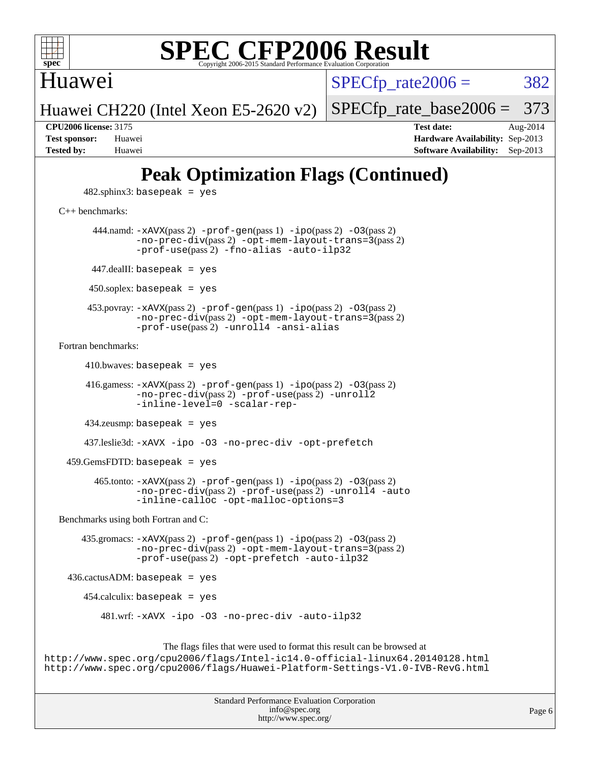

Huawei

 $SPECTp\_rate2006 = 382$ 

Huawei CH220 (Intel Xeon E5-2620 v2) [SPECfp\\_rate\\_base2006 =](http://www.spec.org/auto/cpu2006/Docs/result-fields.html#SPECfpratebase2006) 373

**[CPU2006 license:](http://www.spec.org/auto/cpu2006/Docs/result-fields.html#CPU2006license)** 3175 **[Test date:](http://www.spec.org/auto/cpu2006/Docs/result-fields.html#Testdate)** Aug-2014 **[Test sponsor:](http://www.spec.org/auto/cpu2006/Docs/result-fields.html#Testsponsor)** Huawei **[Hardware Availability:](http://www.spec.org/auto/cpu2006/Docs/result-fields.html#HardwareAvailability)** Sep-2013 **[Tested by:](http://www.spec.org/auto/cpu2006/Docs/result-fields.html#Testedby)** Huawei **[Software Availability:](http://www.spec.org/auto/cpu2006/Docs/result-fields.html#SoftwareAvailability)** Sep-2013

## **[Peak Optimization Flags \(Continued\)](http://www.spec.org/auto/cpu2006/Docs/result-fields.html#PeakOptimizationFlags)**

 $482$ .sphinx $3$ : basepeak = yes

[C++ benchmarks:](http://www.spec.org/auto/cpu2006/Docs/result-fields.html#CXXbenchmarks)

444.namd:  $-x$ AVX(pass 2)  $-p$ rof-gen(pass 1)  $-p$ ipo(pass 2)  $-03$ (pass 2) [-no-prec-div](http://www.spec.org/cpu2006/results/res2014q3/cpu2006-20140829-31090.flags.html#user_peakPASS2_CXXFLAGSPASS2_LDFLAGS444_namd_f-no-prec-div)(pass 2) [-opt-mem-layout-trans=3](http://www.spec.org/cpu2006/results/res2014q3/cpu2006-20140829-31090.flags.html#user_peakPASS2_CXXFLAGS444_namd_f-opt-mem-layout-trans_a7b82ad4bd7abf52556d4961a2ae94d5)(pass 2) [-prof-use](http://www.spec.org/cpu2006/results/res2014q3/cpu2006-20140829-31090.flags.html#user_peakPASS2_CXXFLAGSPASS2_LDFLAGS444_namd_prof_use_bccf7792157ff70d64e32fe3e1250b55)(pass 2) [-fno-alias](http://www.spec.org/cpu2006/results/res2014q3/cpu2006-20140829-31090.flags.html#user_peakCXXOPTIMIZE444_namd_f-no-alias_694e77f6c5a51e658e82ccff53a9e63a) [-auto-ilp32](http://www.spec.org/cpu2006/results/res2014q3/cpu2006-20140829-31090.flags.html#user_peakCXXOPTIMIZE444_namd_f-auto-ilp32) 447.dealII: basepeak = yes 450.soplex: basepeak = yes 453.povray: [-xAVX](http://www.spec.org/cpu2006/results/res2014q3/cpu2006-20140829-31090.flags.html#user_peakPASS2_CXXFLAGSPASS2_LDFLAGS453_povray_f-xAVX)(pass 2) [-prof-gen](http://www.spec.org/cpu2006/results/res2014q3/cpu2006-20140829-31090.flags.html#user_peakPASS1_CXXFLAGSPASS1_LDFLAGS453_povray_prof_gen_e43856698f6ca7b7e442dfd80e94a8fc)(pass 1) [-ipo](http://www.spec.org/cpu2006/results/res2014q3/cpu2006-20140829-31090.flags.html#user_peakPASS2_CXXFLAGSPASS2_LDFLAGS453_povray_f-ipo)(pass 2) [-O3](http://www.spec.org/cpu2006/results/res2014q3/cpu2006-20140829-31090.flags.html#user_peakPASS2_CXXFLAGSPASS2_LDFLAGS453_povray_f-O3)(pass 2) [-no-prec-div](http://www.spec.org/cpu2006/results/res2014q3/cpu2006-20140829-31090.flags.html#user_peakPASS2_CXXFLAGSPASS2_LDFLAGS453_povray_f-no-prec-div)(pass 2) [-opt-mem-layout-trans=3](http://www.spec.org/cpu2006/results/res2014q3/cpu2006-20140829-31090.flags.html#user_peakPASS2_CXXFLAGS453_povray_f-opt-mem-layout-trans_a7b82ad4bd7abf52556d4961a2ae94d5)(pass 2) [-prof-use](http://www.spec.org/cpu2006/results/res2014q3/cpu2006-20140829-31090.flags.html#user_peakPASS2_CXXFLAGSPASS2_LDFLAGS453_povray_prof_use_bccf7792157ff70d64e32fe3e1250b55)(pass 2) [-unroll4](http://www.spec.org/cpu2006/results/res2014q3/cpu2006-20140829-31090.flags.html#user_peakCXXOPTIMIZE453_povray_f-unroll_4e5e4ed65b7fd20bdcd365bec371b81f) [-ansi-alias](http://www.spec.org/cpu2006/results/res2014q3/cpu2006-20140829-31090.flags.html#user_peakCXXOPTIMIZE453_povray_f-ansi-alias) [Fortran benchmarks](http://www.spec.org/auto/cpu2006/Docs/result-fields.html#Fortranbenchmarks):  $410.bwaves: basepeak = yes$  416.gamess: [-xAVX](http://www.spec.org/cpu2006/results/res2014q3/cpu2006-20140829-31090.flags.html#user_peakPASS2_FFLAGSPASS2_LDFLAGS416_gamess_f-xAVX)(pass 2) [-prof-gen](http://www.spec.org/cpu2006/results/res2014q3/cpu2006-20140829-31090.flags.html#user_peakPASS1_FFLAGSPASS1_LDFLAGS416_gamess_prof_gen_e43856698f6ca7b7e442dfd80e94a8fc)(pass 1) [-ipo](http://www.spec.org/cpu2006/results/res2014q3/cpu2006-20140829-31090.flags.html#user_peakPASS2_FFLAGSPASS2_LDFLAGS416_gamess_f-ipo)(pass 2) [-O3](http://www.spec.org/cpu2006/results/res2014q3/cpu2006-20140829-31090.flags.html#user_peakPASS2_FFLAGSPASS2_LDFLAGS416_gamess_f-O3)(pass 2) [-no-prec-div](http://www.spec.org/cpu2006/results/res2014q3/cpu2006-20140829-31090.flags.html#user_peakPASS2_FFLAGSPASS2_LDFLAGS416_gamess_f-no-prec-div)(pass 2) [-prof-use](http://www.spec.org/cpu2006/results/res2014q3/cpu2006-20140829-31090.flags.html#user_peakPASS2_FFLAGSPASS2_LDFLAGS416_gamess_prof_use_bccf7792157ff70d64e32fe3e1250b55)(pass 2) [-unroll2](http://www.spec.org/cpu2006/results/res2014q3/cpu2006-20140829-31090.flags.html#user_peakOPTIMIZE416_gamess_f-unroll_784dae83bebfb236979b41d2422d7ec2) [-inline-level=0](http://www.spec.org/cpu2006/results/res2014q3/cpu2006-20140829-31090.flags.html#user_peakOPTIMIZE416_gamess_f-inline-level_318d07a09274ad25e8d15dbfaa68ba50) [-scalar-rep-](http://www.spec.org/cpu2006/results/res2014q3/cpu2006-20140829-31090.flags.html#user_peakOPTIMIZE416_gamess_f-disablescalarrep_abbcad04450fb118e4809c81d83c8a1d) 434.zeusmp: basepeak = yes 437.leslie3d: [-xAVX](http://www.spec.org/cpu2006/results/res2014q3/cpu2006-20140829-31090.flags.html#user_peakOPTIMIZE437_leslie3d_f-xAVX) [-ipo](http://www.spec.org/cpu2006/results/res2014q3/cpu2006-20140829-31090.flags.html#user_peakOPTIMIZE437_leslie3d_f-ipo) [-O3](http://www.spec.org/cpu2006/results/res2014q3/cpu2006-20140829-31090.flags.html#user_peakOPTIMIZE437_leslie3d_f-O3) [-no-prec-div](http://www.spec.org/cpu2006/results/res2014q3/cpu2006-20140829-31090.flags.html#user_peakOPTIMIZE437_leslie3d_f-no-prec-div) [-opt-prefetch](http://www.spec.org/cpu2006/results/res2014q3/cpu2006-20140829-31090.flags.html#user_peakOPTIMIZE437_leslie3d_f-opt-prefetch) 459.GemsFDTD: basepeak = yes 465.tonto: [-xAVX](http://www.spec.org/cpu2006/results/res2014q3/cpu2006-20140829-31090.flags.html#user_peakPASS2_FFLAGSPASS2_LDFLAGS465_tonto_f-xAVX)(pass 2) [-prof-gen](http://www.spec.org/cpu2006/results/res2014q3/cpu2006-20140829-31090.flags.html#user_peakPASS1_FFLAGSPASS1_LDFLAGS465_tonto_prof_gen_e43856698f6ca7b7e442dfd80e94a8fc)(pass 1) [-ipo](http://www.spec.org/cpu2006/results/res2014q3/cpu2006-20140829-31090.flags.html#user_peakPASS2_FFLAGSPASS2_LDFLAGS465_tonto_f-ipo)(pass 2) [-O3](http://www.spec.org/cpu2006/results/res2014q3/cpu2006-20140829-31090.flags.html#user_peakPASS2_FFLAGSPASS2_LDFLAGS465_tonto_f-O3)(pass 2) [-no-prec-div](http://www.spec.org/cpu2006/results/res2014q3/cpu2006-20140829-31090.flags.html#user_peakPASS2_FFLAGSPASS2_LDFLAGS465_tonto_f-no-prec-div)(pass 2) [-prof-use](http://www.spec.org/cpu2006/results/res2014q3/cpu2006-20140829-31090.flags.html#user_peakPASS2_FFLAGSPASS2_LDFLAGS465_tonto_prof_use_bccf7792157ff70d64e32fe3e1250b55)(pass 2) [-unroll4](http://www.spec.org/cpu2006/results/res2014q3/cpu2006-20140829-31090.flags.html#user_peakOPTIMIZE465_tonto_f-unroll_4e5e4ed65b7fd20bdcd365bec371b81f) [-auto](http://www.spec.org/cpu2006/results/res2014q3/cpu2006-20140829-31090.flags.html#user_peakOPTIMIZE465_tonto_f-auto) [-inline-calloc](http://www.spec.org/cpu2006/results/res2014q3/cpu2006-20140829-31090.flags.html#user_peakOPTIMIZE465_tonto_f-inline-calloc) [-opt-malloc-options=3](http://www.spec.org/cpu2006/results/res2014q3/cpu2006-20140829-31090.flags.html#user_peakOPTIMIZE465_tonto_f-opt-malloc-options_13ab9b803cf986b4ee62f0a5998c2238)

[Benchmarks using both Fortran and C](http://www.spec.org/auto/cpu2006/Docs/result-fields.html#BenchmarksusingbothFortranandC):

 435.gromacs: [-xAVX](http://www.spec.org/cpu2006/results/res2014q3/cpu2006-20140829-31090.flags.html#user_peakPASS2_CFLAGSPASS2_FFLAGSPASS2_LDFLAGS435_gromacs_f-xAVX)(pass 2) [-prof-gen](http://www.spec.org/cpu2006/results/res2014q3/cpu2006-20140829-31090.flags.html#user_peakPASS1_CFLAGSPASS1_FFLAGSPASS1_LDFLAGS435_gromacs_prof_gen_e43856698f6ca7b7e442dfd80e94a8fc)(pass 1) [-ipo](http://www.spec.org/cpu2006/results/res2014q3/cpu2006-20140829-31090.flags.html#user_peakPASS2_CFLAGSPASS2_FFLAGSPASS2_LDFLAGS435_gromacs_f-ipo)(pass 2) [-O3](http://www.spec.org/cpu2006/results/res2014q3/cpu2006-20140829-31090.flags.html#user_peakPASS2_CFLAGSPASS2_FFLAGSPASS2_LDFLAGS435_gromacs_f-O3)(pass 2) [-no-prec-div](http://www.spec.org/cpu2006/results/res2014q3/cpu2006-20140829-31090.flags.html#user_peakPASS2_CFLAGSPASS2_FFLAGSPASS2_LDFLAGS435_gromacs_f-no-prec-div)(pass 2) [-opt-mem-layout-trans=3](http://www.spec.org/cpu2006/results/res2014q3/cpu2006-20140829-31090.flags.html#user_peakPASS2_CFLAGS435_gromacs_f-opt-mem-layout-trans_a7b82ad4bd7abf52556d4961a2ae94d5)(pass 2) [-prof-use](http://www.spec.org/cpu2006/results/res2014q3/cpu2006-20140829-31090.flags.html#user_peakPASS2_CFLAGSPASS2_FFLAGSPASS2_LDFLAGS435_gromacs_prof_use_bccf7792157ff70d64e32fe3e1250b55)(pass 2) [-opt-prefetch](http://www.spec.org/cpu2006/results/res2014q3/cpu2006-20140829-31090.flags.html#user_peakOPTIMIZE435_gromacs_f-opt-prefetch) [-auto-ilp32](http://www.spec.org/cpu2006/results/res2014q3/cpu2006-20140829-31090.flags.html#user_peakCOPTIMIZE435_gromacs_f-auto-ilp32)

436.cactusADM: basepeak = yes

454.calculix: basepeak = yes

481.wrf: [-xAVX](http://www.spec.org/cpu2006/results/res2014q3/cpu2006-20140829-31090.flags.html#user_peakOPTIMIZE481_wrf_f-xAVX) [-ipo](http://www.spec.org/cpu2006/results/res2014q3/cpu2006-20140829-31090.flags.html#user_peakOPTIMIZE481_wrf_f-ipo) [-O3](http://www.spec.org/cpu2006/results/res2014q3/cpu2006-20140829-31090.flags.html#user_peakOPTIMIZE481_wrf_f-O3) [-no-prec-div](http://www.spec.org/cpu2006/results/res2014q3/cpu2006-20140829-31090.flags.html#user_peakOPTIMIZE481_wrf_f-no-prec-div) [-auto-ilp32](http://www.spec.org/cpu2006/results/res2014q3/cpu2006-20140829-31090.flags.html#user_peakCOPTIMIZE481_wrf_f-auto-ilp32)

The flags files that were used to format this result can be browsed at

<http://www.spec.org/cpu2006/flags/Intel-ic14.0-official-linux64.20140128.html> <http://www.spec.org/cpu2006/flags/Huawei-Platform-Settings-V1.0-IVB-RevG.html>

> Standard Performance Evaluation Corporation [info@spec.org](mailto:info@spec.org) <http://www.spec.org/>